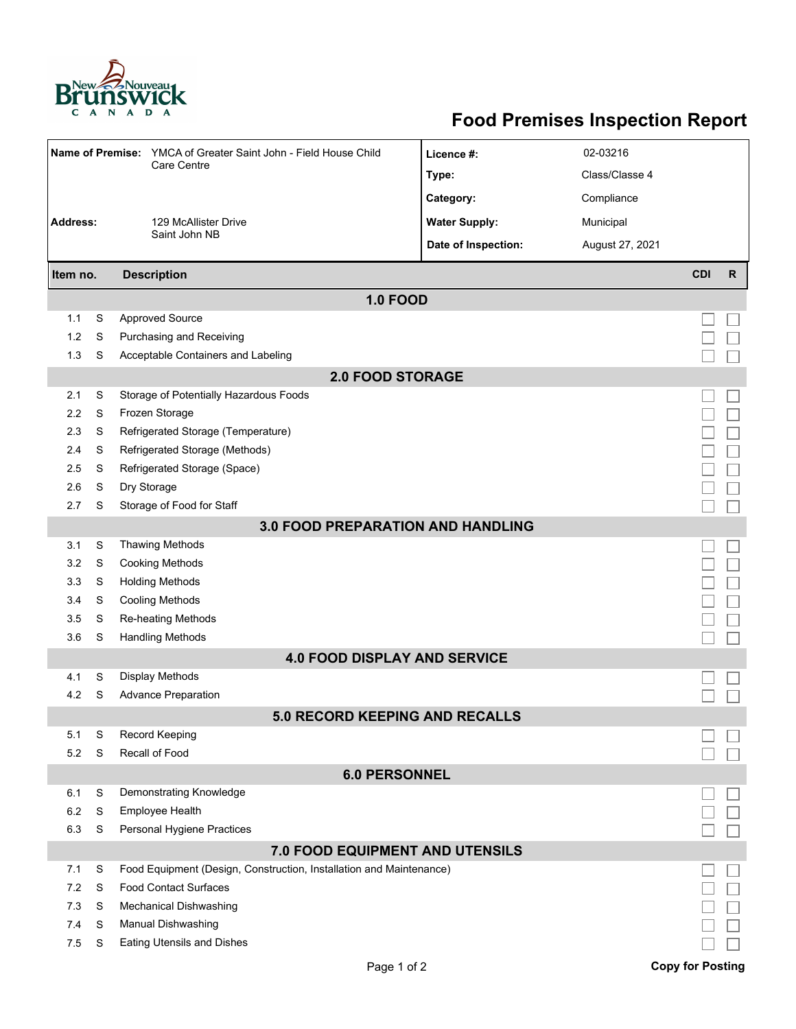

## **Food Premises Inspection Report**

|                                          |   | Name of Premise: YMCA of Greater Saint John - Field House Child     | Licence #:                      | 02-03216        |                         |              |  |  |  |  |  |
|------------------------------------------|---|---------------------------------------------------------------------|---------------------------------|-----------------|-------------------------|--------------|--|--|--|--|--|
|                                          |   | Care Centre                                                         | Type:                           | Class/Classe 4  |                         |              |  |  |  |  |  |
|                                          |   |                                                                     | Category:                       | Compliance      |                         |              |  |  |  |  |  |
| <b>Address:</b>                          |   | 129 McAllister Drive                                                | <b>Water Supply:</b>            | Municipal       |                         |              |  |  |  |  |  |
|                                          |   | Saint John NB                                                       | Date of Inspection:             | August 27, 2021 |                         |              |  |  |  |  |  |
| Item no.                                 |   | <b>Description</b>                                                  |                                 |                 | <b>CDI</b>              | $\mathsf{R}$ |  |  |  |  |  |
| <b>1.0 FOOD</b>                          |   |                                                                     |                                 |                 |                         |              |  |  |  |  |  |
| 1.1                                      | S | <b>Approved Source</b>                                              |                                 |                 |                         |              |  |  |  |  |  |
| 1.2                                      | S | Purchasing and Receiving                                            |                                 |                 |                         |              |  |  |  |  |  |
| 1.3                                      | S | Acceptable Containers and Labeling                                  |                                 |                 |                         |              |  |  |  |  |  |
|                                          |   |                                                                     | <b>2.0 FOOD STORAGE</b>         |                 |                         |              |  |  |  |  |  |
| 2.1                                      | S | Storage of Potentially Hazardous Foods                              |                                 |                 |                         |              |  |  |  |  |  |
| 2.2                                      | S | Frozen Storage                                                      |                                 |                 |                         |              |  |  |  |  |  |
| 2.3                                      | S | Refrigerated Storage (Temperature)                                  |                                 |                 |                         |              |  |  |  |  |  |
| 2.4                                      | S | Refrigerated Storage (Methods)                                      |                                 |                 |                         |              |  |  |  |  |  |
| 2.5                                      | S | Refrigerated Storage (Space)                                        |                                 |                 |                         |              |  |  |  |  |  |
| 2.6                                      | S | Dry Storage                                                         |                                 |                 |                         |              |  |  |  |  |  |
| 2.7                                      | S | Storage of Food for Staff                                           |                                 |                 |                         |              |  |  |  |  |  |
| <b>3.0 FOOD PREPARATION AND HANDLING</b> |   |                                                                     |                                 |                 |                         |              |  |  |  |  |  |
| 3.1                                      | S | <b>Thawing Methods</b>                                              |                                 |                 |                         |              |  |  |  |  |  |
| 3.2                                      | S | <b>Cooking Methods</b>                                              |                                 |                 |                         |              |  |  |  |  |  |
| 3.3                                      | S | <b>Holding Methods</b>                                              |                                 |                 |                         |              |  |  |  |  |  |
| 3.4                                      | S | <b>Cooling Methods</b>                                              |                                 |                 |                         |              |  |  |  |  |  |
| 3.5                                      | S | Re-heating Methods                                                  |                                 |                 |                         |              |  |  |  |  |  |
| 3.6                                      | S | <b>Handling Methods</b>                                             |                                 |                 |                         |              |  |  |  |  |  |
| <b>4.0 FOOD DISPLAY AND SERVICE</b>      |   |                                                                     |                                 |                 |                         |              |  |  |  |  |  |
| 4.1                                      | S | Display Methods                                                     |                                 |                 |                         |              |  |  |  |  |  |
| 4.2                                      | S | <b>Advance Preparation</b>                                          |                                 |                 |                         |              |  |  |  |  |  |
|                                          |   |                                                                     | 5.0 RECORD KEEPING AND RECALLS  |                 |                         |              |  |  |  |  |  |
| 5.1                                      | S | <b>Record Keeping</b>                                               |                                 |                 |                         |              |  |  |  |  |  |
| 5.2                                      | S | Recall of Food                                                      |                                 |                 |                         |              |  |  |  |  |  |
| <b>6.0 PERSONNEL</b>                     |   |                                                                     |                                 |                 |                         |              |  |  |  |  |  |
| 6.1                                      | S | Demonstrating Knowledge                                             |                                 |                 |                         |              |  |  |  |  |  |
| 6.2                                      | S | Employee Health                                                     |                                 |                 |                         |              |  |  |  |  |  |
| 6.3                                      | S | Personal Hygiene Practices                                          |                                 |                 |                         |              |  |  |  |  |  |
|                                          |   |                                                                     | 7.0 FOOD EQUIPMENT AND UTENSILS |                 |                         |              |  |  |  |  |  |
| 7.1                                      | S | Food Equipment (Design, Construction, Installation and Maintenance) |                                 |                 |                         |              |  |  |  |  |  |
| 7.2                                      | S | <b>Food Contact Surfaces</b>                                        |                                 |                 |                         |              |  |  |  |  |  |
| 7.3                                      | S | Mechanical Dishwashing                                              |                                 |                 |                         |              |  |  |  |  |  |
| 7.4                                      | S | Manual Dishwashing                                                  |                                 |                 |                         |              |  |  |  |  |  |
| 7.5                                      | S | <b>Eating Utensils and Dishes</b>                                   |                                 |                 |                         |              |  |  |  |  |  |
|                                          |   |                                                                     | Page 1 of 2                     |                 | <b>Copy for Posting</b> |              |  |  |  |  |  |